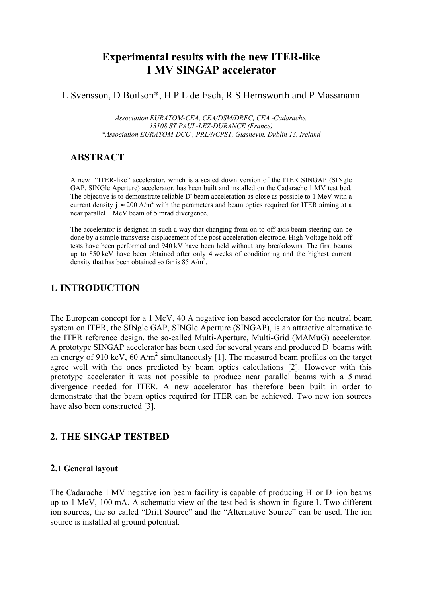# **Experimental results with the new ITER-like 1 MV SINGAP accelerator**

L Svensson, D Boilson\*, H P L de Esch, R S Hemsworth and P Massmann

Association EURATOM-CEA, CEA/DSM/DRFC, CEA-Cadarache. 13108 ST PAUL-LEZ-DURANCE (France) \*Association EURATOM-DCU, PRL/NCPST, Glasnevin, Dublin 13, Ireland

## **ABSTRACT**

A new "ITER-like" accelerator, which is a scaled down version of the ITER SINGAP (SINgle GAP, SINGle Aperture) accelerator, has been built and installed on the Cadarache 1 MV test bed. The objective is to demonstrate reliable D beam acceleration as close as possible to 1 MeV with a current density  $i \approx 200$  A/m<sup>2</sup> with the parameters and beam optics required for ITER aiming at a near parallel 1 MeV beam of 5 mrad divergence.

The accelerator is designed in such a way that changing from on to off-axis beam steering can be done by a simple transverse displacement of the post-acceleration electrode. High Voltage hold off tests have been performed and 940 kV have been held without any breakdowns. The first beams up to 850 keV have been obtained after only 4 weeks of conditioning and the highest current density that has been obtained so far is 85 A/m<sup>2</sup>.

## **1. INTRODUCTION**

The European concept for a 1 MeV, 40 A negative ion based accelerator for the neutral beam system on ITER, the SINgle GAP, SINGle Aperture (SINGAP), is an attractive alternative to the ITER reference design, the so-called Multi-Aperture, Multi-Grid (MAMuG) accelerator. A prototype SINGAP accelerator has been used for several years and produced D beams with an energy of 910 keV, 60 A/m<sup>2</sup> simultaneously [1]. The measured beam profiles on the target agree well with the ones predicted by beam optics calculations [2]. However with this prototype accelerator it was not possible to produce near parallel beams with a 5 mrad divergence needed for ITER. A new accelerator has therefore been built in order to demonstrate that the beam optics required for ITER can be achieved. Two new ion sources have also been constructed [3].

## 2. THE SINGAP TESTBED

### 2.1 General layout

The Cadarache 1 MV negative ion beam facility is capable of producing H or D ion beams up to 1 MeV, 100 mA. A schematic view of the test bed is shown in figure 1. Two different ion sources, the so called "Drift Source" and the "Alternative Source" can be used. The ion source is installed at ground potential.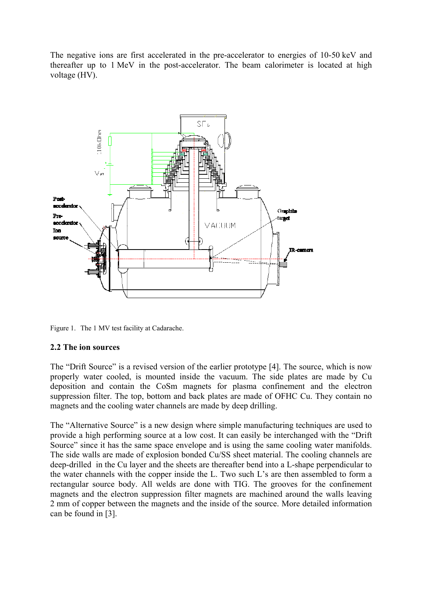The negative ions are first accelerated in the pre-accelerator to energies of 10-50 keV and thereafter up to 1 MeV in the post-accelerator. The beam calorimeter is located at high voltage (HV).



Figure 1. The 1 MV test facility at Cadarache.

### 2.2 The ion sources

The "Drift Source" is a revised version of the earlier prototype [4]. The source, which is now properly water cooled, is mounted inside the vacuum. The side plates are made by Cu deposition and contain the CoSm magnets for plasma confinement and the electron suppression filter. The top, bottom and back plates are made of OFHC Cu. They contain no magnets and the cooling water channels are made by deep drilling.

The "Alternative Source" is a new design where simple manufacturing techniques are used to provide a high performing source at a low cost. It can easily be interchanged with the "Drift" Source" since it has the same space envelope and is using the same cooling water manifolds. The side walls are made of explosion bonded Cu/SS sheet material. The cooling channels are deep-drilled in the Cu layer and the sheets are thereafter bend into a L-shape perpendicular to the water channels with the copper inside the L. Two such L's are then assembled to form a rectangular source body. All welds are done with TIG. The grooves for the confinement magnets and the electron suppression filter magnets are machined around the walls leaving 2 mm of copper between the magnets and the inside of the source. More detailed information can be found in [3].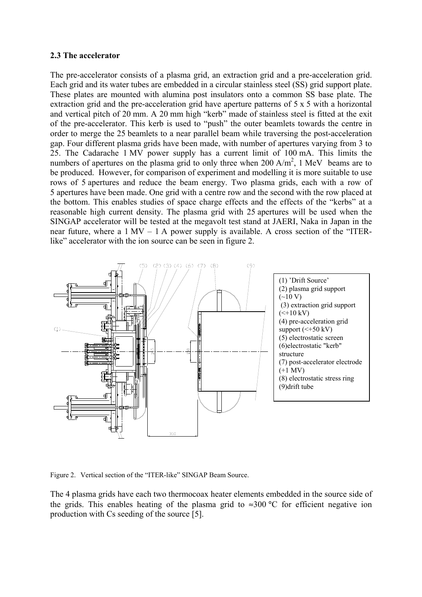#### 2.3 The accelerator

The pre-accelerator consists of a plasma grid, an extraction grid and a pre-acceleration grid. Each grid and its water tubes are embedded in a circular stainless steel (SS) grid support plate. These plates are mounted with alumina post insulators onto a common SS base plate. The extraction grid and the pre-acceleration grid have aperture patterns of  $5 \times 5$  with a horizontal and vertical pitch of 20 mm. A 20 mm high "kerb" made of stainless steel is fitted at the exit of the pre-accelerator. This kerb is used to "push" the outer beamlets towards the centre in order to merge the 25 beamlets to a near parallel beam while traversing the post-acceleration gap. Four different plasma grids have been made, with number of apertures varying from 3 to 25. The Cadarache 1 MV power supply has a current limit of 100 mA. This limits the numbers of apertures on the plasma grid to only three when  $200 A/m^2$ , 1 MeV beams are to be produced. However, for comparison of experiment and modelling it is more suitable to use rows of 5 apertures and reduce the beam energy. Two plasma grids, each with a row of 5 apertures have been made. One grid with a centre row and the second with the row placed at the bottom. This enables studies of space charge effects and the effects of the "kerbs" at a reasonable high current density. The plasma grid with 25 apertures will be used when the SINGAP accelerator will be tested at the megavolt test stand at JAERI, Naka in Japan in the near future, where a  $1 \text{ MV} - 1 \text{ A}$  power supply is available. A cross section of the "ITERlike" accelerator with the ion source can be seen in figure 2.



Figure 2. Vertical section of the "ITER-like" SINGAP Beam Source.

The 4 plasma grids have each two thermocoax heater elements embedded in the source side of the grids. This enables heating of the plasma grid to  $\approx 300$  °C for efficient negative ion production with Cs seeding of the source [5].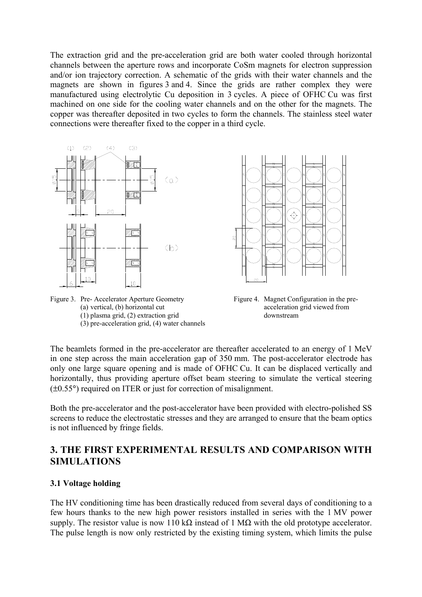The extraction grid and the pre-acceleration grid are both water cooled through horizontal channels between the aperture rows and incorporate CoSm magnets for electron suppression and/or ion trajectory correction. A schematic of the grids with their water channels and the magnets are shown in figures 3 and 4. Since the grids are rather complex they were manufactured using electrolytic Cu deposition in 3 cycles. A piece of OFHC Cu was first machined on one side for the cooling water channels and on the other for the magnets. The copper was thereafter deposited in two cycles to form the channels. The stainless steel water connections were thereafter fixed to the copper in a third cycle.



Figure 3. Pre- Accelerator Aperture Geometry (a) vertical, (b) horizontal cut  $(1)$  plasma grid,  $(2)$  extraction grid  $(3)$  pre-acceleration grid,  $(4)$  water channels



Figure 4. Magnet Configuration in the preacceleration grid viewed from downstream

The beamlets formed in the pre-accelerator are thereafter accelerated to an energy of 1 MeV in one step across the main acceleration gap of 350 mm. The post-accelerator electrode has only one large square opening and is made of OFHC Cu. It can be displaced vertically and horizontally, thus providing aperture offset beam steering to simulate the vertical steering  $(\pm 0.55^{\circ})$  required on ITER or just for correction of misalignment.

Both the pre-accelerator and the post-accelerator have been provided with electro-polished SS screens to reduce the electrostatic stresses and they are arranged to ensure that the beam optics is not influenced by fringe fields.

# 3. THE FIRST EXPERIMENTAL RESULTS AND COMPARISON WITH **SIMULATIONS**

#### 3.1 Voltage holding

The HV conditioning time has been drastically reduced from several days of conditioning to a few hours thanks to the new high power resistors installed in series with the 1 MV power supply. The resistor value is now 110 k $\Omega$  instead of 1 M $\Omega$  with the old prototype accelerator. The pulse length is now only restricted by the existing timing system, which limits the pulse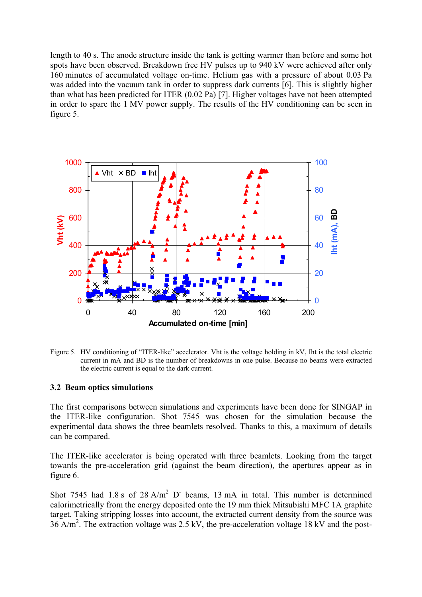length to 40 s. The anode structure inside the tank is getting warmer than before and some hot spots have been observed. Breakdown free HV pulses up to 940 kV were achieved after only 160 minutes of accumulated voltage on-time. Helium gas with a pressure of about 0.03 Pa was added into the vacuum tank in order to suppress dark currents [6]. This is slightly higher than what has been predicted for ITER (0.02 Pa) [7]. Higher voltages have not been attempted in order to spare the 1 MV power supply. The results of the HV conditioning can be seen in figure 5.



Figure 5. HV conditioning of "ITER-like" accelerator. Vht is the voltage holding in kV, Iht is the total electric current in mA and BD is the number of breakdowns in one pulse. Because no beams were extracted the electric current is equal to the dark current.

#### 3.2 Beam optics simulations

The first comparisons between simulations and experiments have been done for SINGAP in the ITER-like configuration. Shot 7545 was chosen for the simulation because the experimental data shows the three beamlets resolved. Thanks to this, a maximum of details can be compared.

The ITER-like accelerator is being operated with three beamlets. Looking from the target towards the pre-acceleration grid (against the beam direction), the apertures appear as in figure  $6$ .

Shot 7545 had 1.8 s of 28  $A/m^2$  D beams, 13 mA in total. This number is determined calorimetrically from the energy deposited onto the 19 mm thick Mitsubishi MFC 1A graphite target. Taking stripping losses into account, the extracted current density from the source was  $36$  A/m<sup>2</sup>. The extraction voltage was 2.5 kV, the pre-acceleration voltage 18 kV and the post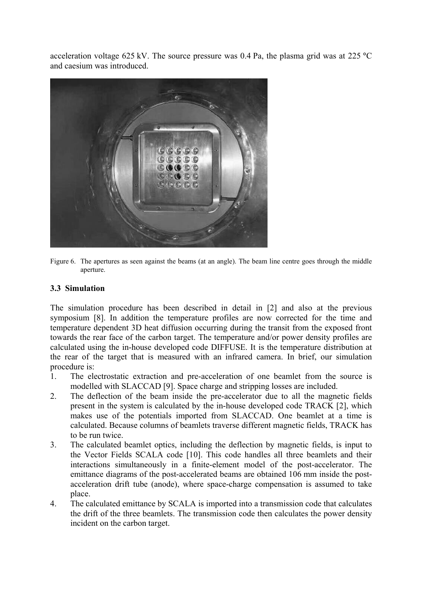acceleration voltage 625 kV. The source pressure was 0.4 Pa, the plasma grid was at 225  $^{\circ}$ C and caesium was introduced.



Figure 6. The apertures as seen against the beams (at an angle). The beam line centre goes through the middle aperture.

### 3.3 Simulation

The simulation procedure has been described in detail in [2] and also at the previous symposium [8]. In addition the temperature profiles are now corrected for the time and temperature dependent 3D heat diffusion occurring during the transit from the exposed front towards the rear face of the carbon target. The temperature and/or power density profiles are calculated using the in-house developed code DIFFUSE. It is the temperature distribution at the rear of the target that is measured with an infrared camera. In brief, our simulation procedure is:

- The electrostatic extraction and pre-acceleration of one beamlet from the source is  $\mathbf{1}$ . modelled with SLACCAD [9]. Space charge and stripping losses are included.
- The deflection of the beam inside the pre-accelerator due to all the magnetic fields  $2.$ present in the system is calculated by the in-house developed code TRACK [2], which makes use of the potentials imported from SLACCAD. One beamlet at a time is calculated. Because columns of beamlets traverse different magnetic fields, TRACK has to be run twice.
- $3<sub>1</sub>$ The calculated beamlet optics, including the deflection by magnetic fields, is input to the Vector Fields SCALA code [10]. This code handles all three beamlets and their interactions simultaneously in a finite-element model of the post-accelerator. The emittance diagrams of the post-accelerated beams are obtained 106 mm inside the postacceleration drift tube (anode), where space-charge compensation is assumed to take place
- The calculated emittance by SCALA is imported into a transmission code that calculates  $\overline{4}$ . the drift of the three beamlets. The transmission code then calculates the power density incident on the carbon target.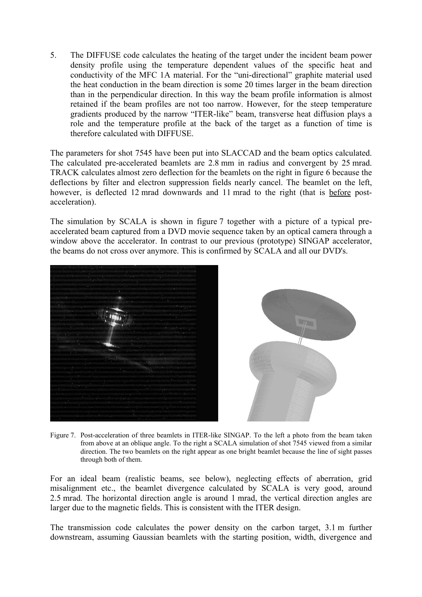$5<sub>1</sub>$ The DIFFUSE code calculates the heating of the target under the incident beam power density profile using the temperature dependent values of the specific heat and conductivity of the MFC 1A material. For the "uni-directional" graphite material used the heat conduction in the beam direction is some 20 times larger in the beam direction than in the perpendicular direction. In this way the beam profile information is almost retained if the beam profiles are not too narrow. However, for the steep temperature gradients produced by the narrow "ITER-like" beam, transverse heat diffusion plays a role and the temperature profile at the back of the target as a function of time is therefore calculated with DIFFUSE.

The parameters for shot 7545 have been put into SLACCAD and the beam optics calculated. The calculated pre-accelerated beamlets are 2.8 mm in radius and convergent by 25 mrad. TRACK calculates almost zero deflection for the beamlets on the right in figure 6 because the deflections by filter and electron suppression fields nearly cancel. The beamlet on the left, however, is deflected 12 mrad downwards and 11 mrad to the right (that is before postacceleration).

The simulation by SCALA is shown in figure 7 together with a picture of a typical preaccelerated beam captured from a DVD movie sequence taken by an optical camera through a window above the accelerator. In contrast to our previous (prototype) SINGAP accelerator, the beams do not cross over anymore. This is confirmed by SCALA and all our DVD's.



Figure 7. Post-acceleration of three beamlets in ITER-like SINGAP. To the left a photo from the beam taken from above at an oblique angle. To the right a SCALA simulation of shot 7545 viewed from a similar direction. The two beamlets on the right appear as one bright beamlet because the line of sight passes through both of them.

For an ideal beam (realistic beams, see below), neglecting effects of aberration, grid misalignment etc., the beamlet divergence calculated by SCALA is very good, around 2.5 mrad. The horizontal direction angle is around 1 mrad, the vertical direction angles are larger due to the magnetic fields. This is consistent with the ITER design.

The transmission code calculates the power density on the carbon target, 3.1 m further downstream, assuming Gaussian beamlets with the starting position, width, divergence and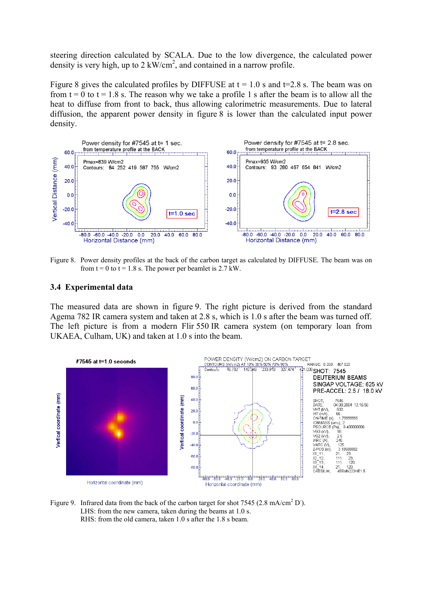steering direction calculated by SCALA. Due to the low divergence, the calculated power density is very high, up to  $2 \, \text{kW/cm}^2$ , and contained in a narrow profile.

Figure 8 gives the calculated profiles by DIFFUSE at  $t = 1.0$  s and  $t = 2.8$  s. The beam was on from  $t = 0$  to  $t = 1.8$  s. The reason why we take a profile 1 s after the beam is to allow all the heat to diffuse from front to back, thus allowing calorimetric measurements. Due to lateral diffusion, the apparent power density in figure 8 is lower than the calculated input power density.



Figure 8. Power density profiles at the back of the carbon target as calculated by DIFFUSE. The beam was on from  $t = 0$  to  $t = 1.8$  s. The power per beamlet is 2.7 kW.

#### 3.4 Experimental data

The measured data are shown in figure 9. The right picture is derived from the standard Agema 782 IR camera system and taken at 2.8 s, which is 1.0 s after the beam was turned off. The left picture is from a modern Flir 550 IR camera system (on temporary loan from UKAEA, Culham, UK) and taken at 1.0 s into the beam.



Figure 9. Infrared data from the back of the carbon target for shot 7545 (2.8 mA/cm<sup>2</sup> D<sup>-</sup>). LHS: from the new camera, taken during the beams at 1.0 s. RHS: from the old camera, taken 1.0 s after the 1.8 s beam.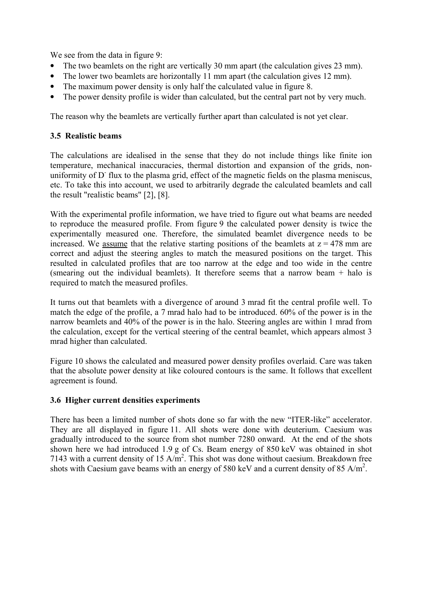We see from the data in figure 9:

- The two beamlets on the right are vertically 30 mm apart (the calculation gives 23 mm).
- The lower two beamlets are horizontally 11 mm apart (the calculation gives 12 mm).  $\bullet$
- The maximum power density is only half the calculated value in figure 8.  $\bullet$
- The power density profile is wider than calculated, but the central part not by very much.

The reason why the beamlets are vertically further apart than calculated is not yet clear.

### 3.5 Realistic beams

The calculations are idealised in the sense that they do not include things like finite ion temperature, mechanical inaccuracies, thermal distortion and expansion of the grids, nonuniformity of D flux to the plasma grid, effect of the magnetic fields on the plasma meniscus, etc. To take this into account, we used to arbitrarily degrade the calculated beamlets and call the result "realistic beams" [2], [8].

With the experimental profile information, we have tried to figure out what beams are needed to reproduce the measured profile. From figure 9 the calculated power density is twice the experimentally measured one. Therefore, the simulated beamlet divergence needs to be increased. We assume that the relative starting positions of the beamlets at  $z = 478$  mm are correct and adjust the steering angles to match the measured positions on the target. This resulted in calculated profiles that are too narrow at the edge and too wide in the centre (smearing out the individual beamlets). It therefore seems that a narrow beam  $+$  halo is required to match the measured profiles.

It turns out that beamlets with a divergence of around 3 mrad fit the central profile well. To match the edge of the profile, a 7 mrad halo had to be introduced. 60% of the power is in the narrow beamlets and 40% of the power is in the halo. Steering angles are within 1 mrad from the calculation, except for the vertical steering of the central beamlet, which appears almost 3 mrad higher than calculated.

Figure 10 shows the calculated and measured power density profiles overlaid. Care was taken that the absolute power density at like coloured contours is the same. It follows that excellent agreement is found.

### 3.6 Higher current densities experiments

There has been a limited number of shots done so far with the new "ITER-like" accelerator. They are all displayed in figure 11. All shots were done with deuterium. Caesium was gradually introduced to the source from shot number 7280 onward. At the end of the shots shown here we had introduced 1.9 g of Cs. Beam energy of 850 keV was obtained in shot 7143 with a current density of 15 A/m<sup>2</sup>. This shot was done without caesium. Breakdown free shots with Caesium gave beams with an energy of 580 keV and a current density of 85 A/m<sup>2</sup>.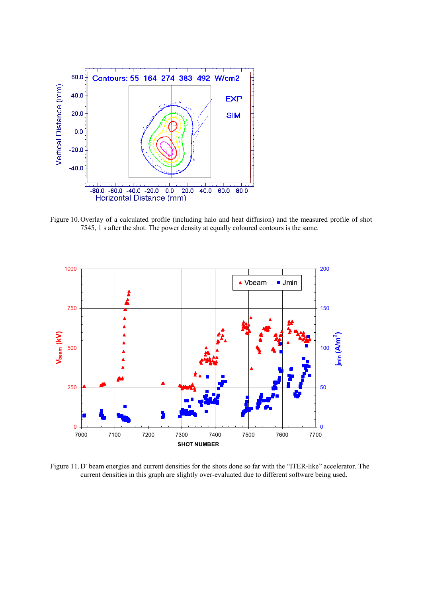

Figure 10. Overlay of a calculated profile (including halo and heat diffusion) and the measured profile of shot 7545, 1 s after the shot. The power density at equally coloured contours is the same.



Figure 11. D' beam energies and current densities for the shots done so far with the "ITER-like" accelerator. The current densities in this graph are slightly over-evaluated due to different software being used.